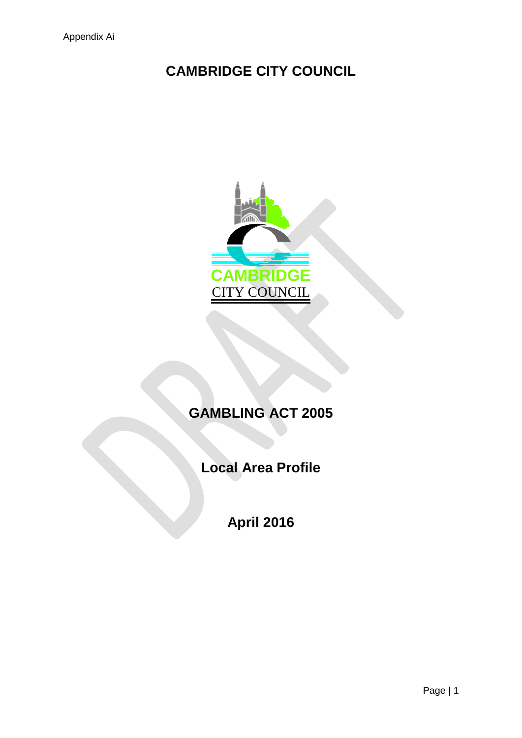# **CAMBRIDGE CITY COUNCIL**



# **GAMBLING ACT 2005**

**Local Area Profile**

**April 2016**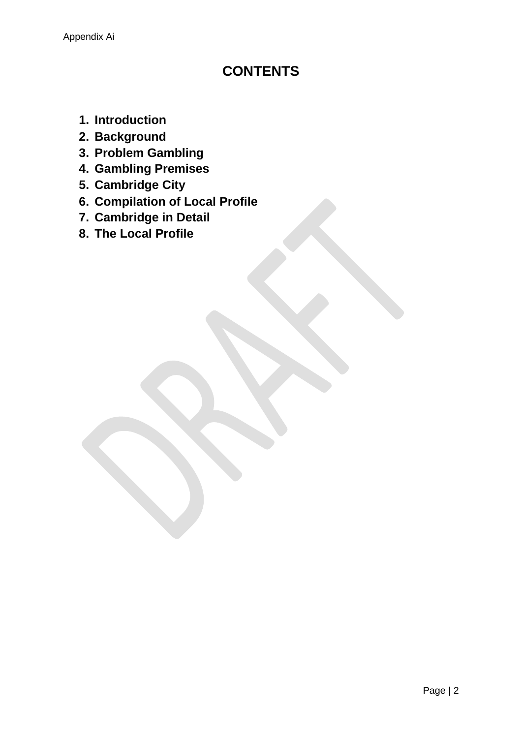## **CONTENTS**

- **1. Introduction**
- **2. Background**
- **3. Problem Gambling**
- **4. Gambling Premises**
- **5. Cambridge City**
- **6. Compilation of Local Profile**
- **7. Cambridge in Detail**
- **8. The Local Profile**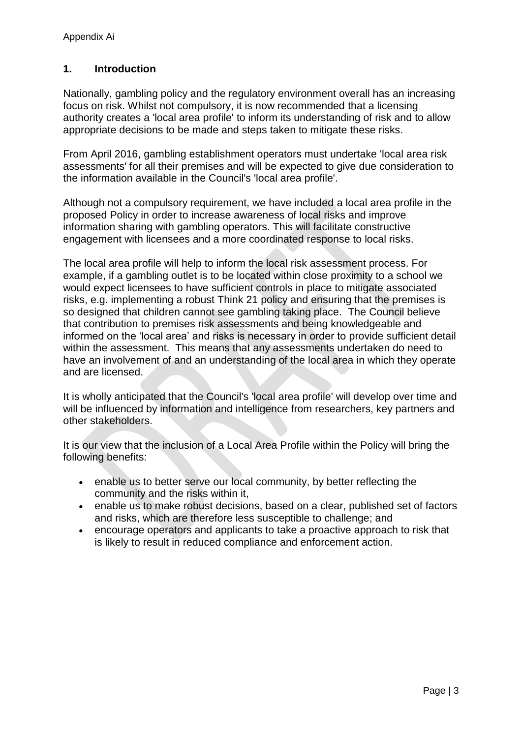## **1. Introduction**

Nationally, gambling policy and the regulatory environment overall has an increasing focus on risk. Whilst not compulsory, it is now recommended that a licensing authority creates a 'local area profile' to inform its understanding of risk and to allow appropriate decisions to be made and steps taken to mitigate these risks.

From April 2016, gambling establishment operators must undertake 'local area risk assessments' for all their premises and will be expected to give due consideration to the information available in the Council's 'local area profile'.

Although not a compulsory requirement, we have included a local area profile in the proposed Policy in order to increase awareness of local risks and improve information sharing with gambling operators. This will facilitate constructive engagement with licensees and a more coordinated response to local risks.

The local area profile will help to inform the local risk assessment process. For example, if a gambling outlet is to be located within close proximity to a school we would expect licensees to have sufficient controls in place to mitigate associated risks, e.g. implementing a robust Think 21 policy and ensuring that the premises is so designed that children cannot see gambling taking place. The Council believe that contribution to premises risk assessments and being knowledgeable and informed on the 'local area' and risks is necessary in order to provide sufficient detail within the assessment. This means that any assessments undertaken do need to have an involvement of and an understanding of the local area in which they operate and are licensed.

It is wholly anticipated that the Council's 'local area profile' will develop over time and will be influenced by information and intelligence from researchers, key partners and other stakeholders.

It is our view that the inclusion of a Local Area Profile within the Policy will bring the following benefits:

- enable us to better serve our local community, by better reflecting the community and the risks within it,
- enable us to make robust decisions, based on a clear, published set of factors and risks, which are therefore less susceptible to challenge; and
- encourage operators and applicants to take a proactive approach to risk that is likely to result in reduced compliance and enforcement action.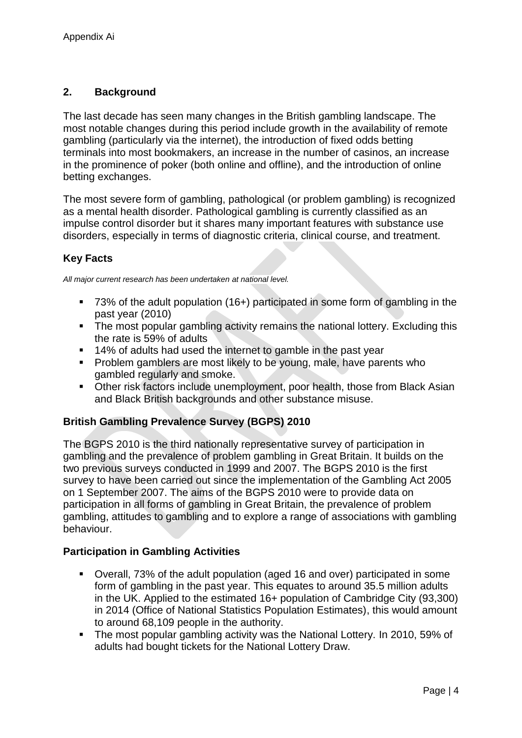## **2. Background**

The last decade has seen many changes in the British gambling landscape. The most notable changes during this period include growth in the availability of remote gambling (particularly via the internet), the introduction of fixed odds betting terminals into most bookmakers, an increase in the number of casinos, an increase in the prominence of poker (both online and offline), and the introduction of online betting exchanges.

The most severe form of gambling, pathological (or problem gambling) is recognized as a mental health disorder. Pathological gambling is currently classified as an impulse control disorder but it shares many important features with substance use disorders, especially in terms of diagnostic criteria, clinical course, and treatment.

## **Key Facts**

*All major current research has been undertaken at national level.* 

- 73% of the adult population (16+) participated in some form of gambling in the past year (2010)
- The most popular gambling activity remains the national lottery. Excluding this the rate is 59% of adults
- 14% of adults had used the internet to gamble in the past year
- **Problem gamblers are most likely to be young, male, have parents who** gambled regularly and smoke.
- Other risk factors include unemployment, poor health, those from Black Asian and Black British backgrounds and other substance misuse.

## **British Gambling Prevalence Survey (BGPS) 2010**

The BGPS 2010 is the third nationally representative survey of participation in gambling and the prevalence of problem gambling in Great Britain. It builds on the two previous surveys conducted in 1999 and 2007. The BGPS 2010 is the first survey to have been carried out since the implementation of the Gambling Act 2005 on 1 September 2007. The aims of the BGPS 2010 were to provide data on participation in all forms of gambling in Great Britain, the prevalence of problem gambling, attitudes to gambling and to explore a range of associations with gambling behaviour.

#### **Participation in Gambling Activities**

- Overall, 73% of the adult population (aged 16 and over) participated in some form of gambling in the past year. This equates to around 35.5 million adults in the UK. Applied to the estimated 16+ population of Cambridge City (93,300) in 2014 (Office of National Statistics Population Estimates), this would amount to around 68,109 people in the authority.
- The most popular gambling activity was the National Lottery. In 2010, 59% of adults had bought tickets for the National Lottery Draw.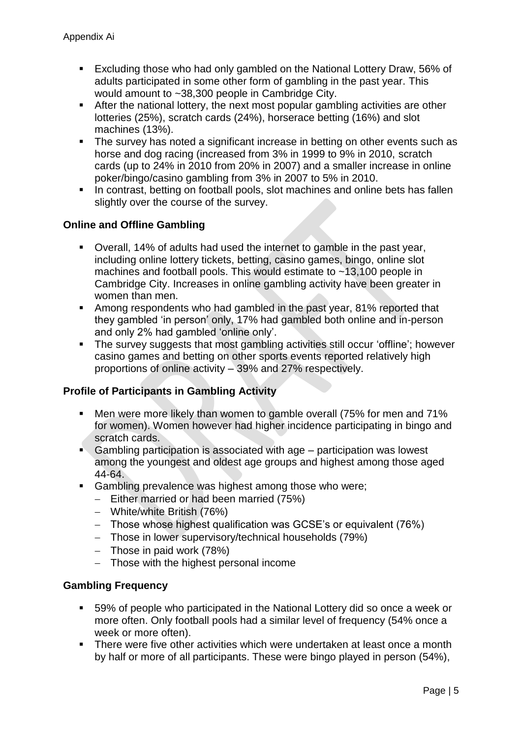- **Excluding those who had only gambled on the National Lottery Draw, 56% of** adults participated in some other form of gambling in the past year. This would amount to ~38,300 people in Cambridge City.
- After the national lottery, the next most popular gambling activities are other lotteries (25%), scratch cards (24%), horserace betting (16%) and slot machines (13%).
- The survey has noted a significant increase in betting on other events such as horse and dog racing (increased from 3% in 1999 to 9% in 2010, scratch cards (up to 24% in 2010 from 20% in 2007) and a smaller increase in online poker/bingo/casino gambling from 3% in 2007 to 5% in 2010.
- In contrast, betting on football pools, slot machines and online bets has fallen slightly over the course of the survey.

## **Online and Offline Gambling**

- Overall, 14% of adults had used the internet to gamble in the past year, including online lottery tickets, betting, casino games, bingo, online slot machines and football pools. This would estimate to ~13,100 people in Cambridge City. Increases in online gambling activity have been greater in women than men.
- Among respondents who had gambled in the past year, 81% reported that they gambled 'in person' only, 17% had gambled both online and in-person and only 2% had gambled 'online only'.
- The survey suggests that most gambling activities still occur 'offline'; however casino games and betting on other sports events reported relatively high proportions of online activity – 39% and 27% respectively.

#### **Profile of Participants in Gambling Activity**

- Men were more likely than women to gamble overall (75% for men and 71% for women). Women however had higher incidence participating in bingo and scratch cards.
- Gambling participation is associated with age participation was lowest among the youngest and oldest age groups and highest among those aged 44-64.
- **Gambling prevalence was highest among those who were;** 
	- $-$  Either married or had been married (75%)
	- White/white British (76%)
	- Those whose highest qualification was GCSE's or equivalent (76%)
	- Those in lower supervisory/technical households (79%)
	- $-$  Those in paid work (78%)
	- Those with the highest personal income

#### **Gambling Frequency**

- 59% of people who participated in the National Lottery did so once a week or more often. Only football pools had a similar level of frequency (54% once a week or more often).
- There were five other activities which were undertaken at least once a month by half or more of all participants. These were bingo played in person (54%),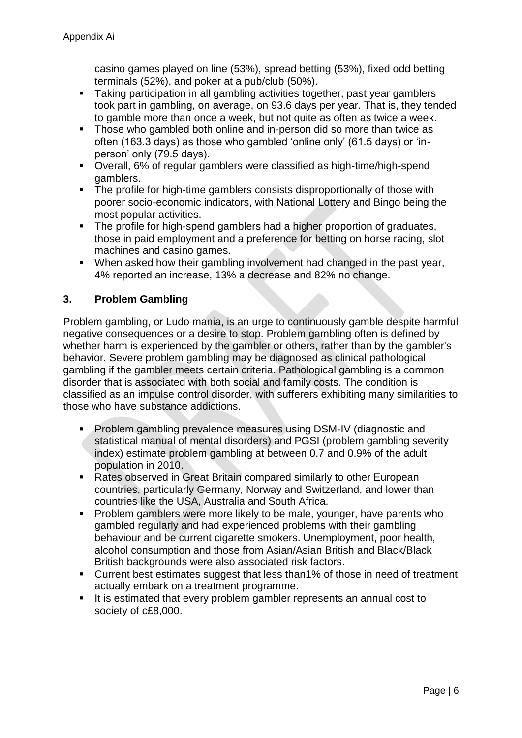casino games played on line (53%), spread betting (53%), fixed odd betting terminals (52%), and poker at a pub/club (50%).

- **Taking participation in all gambling activities together, past year gamblers** took part in gambling, on average, on 93.6 days per year. That is, they tended to gamble more than once a week, but not quite as often as twice a week.
- **Those who gambled both online and in-person did so more than twice as** often (163.3 days) as those who gambled 'online only' (61.5 days) or 'inperson' only (79.5 days).
- Overall, 6% of regular gamblers were classified as high-time/high-spend gamblers.
- The profile for high-time gamblers consists disproportionally of those with poorer socio-economic indicators, with National Lottery and Bingo being the most popular activities.
- The profile for high-spend gamblers had a higher proportion of graduates, those in paid employment and a preference for betting on horse racing, slot machines and casino games.
- When asked how their gambling involvement had changed in the past year, 4% reported an increase, 13% a decrease and 82% no change.

## **3. Problem Gambling**

Problem gambling, or Ludo mania, is an urge to continuously gamble despite harmful negative consequences or a desire to stop. Problem gambling often is defined by whether harm is experienced by the gambler or others, rather than by the gambler's behavior. Severe problem gambling may be diagnosed as clinical pathological gambling if the gambler meets certain criteria. Pathological gambling is a common disorder that is associated with both social and family costs. The condition is classified as an impulse control disorder, with sufferers exhibiting many similarities to those who have substance addictions.

- Problem gambling prevalence measures using DSM-IV (diagnostic and statistical manual of mental disorders) and PGSI (problem gambling severity index) estimate problem gambling at between 0.7 and 0.9% of the adult population in 2010.
- Rates observed in Great Britain compared similarly to other European countries, particularly Germany, Norway and Switzerland, and lower than countries like the USA, Australia and South Africa.
- **Problem gamblers were more likely to be male, younger, have parents who** gambled regularly and had experienced problems with their gambling behaviour and be current cigarette smokers. Unemployment, poor health, alcohol consumption and those from Asian/Asian British and Black/Black British backgrounds were also associated risk factors.
- Current best estimates suggest that less than1% of those in need of treatment actually embark on a treatment programme.
- It is estimated that every problem gambler represents an annual cost to society of c£8,000.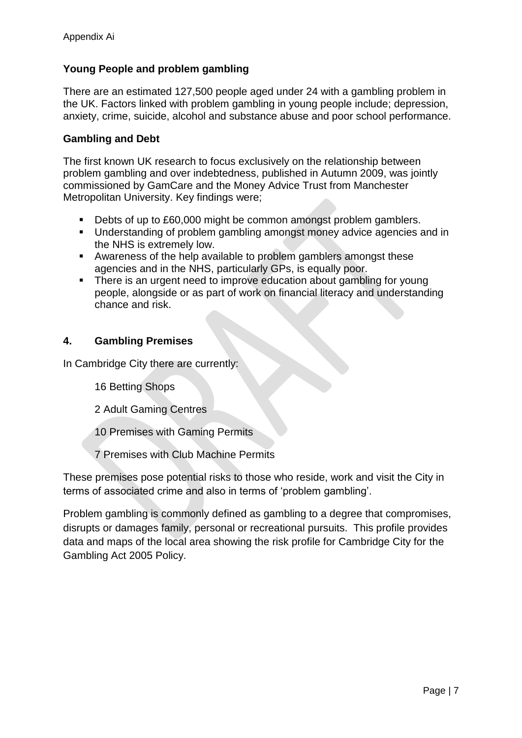## **Young People and problem gambling**

There are an estimated 127,500 people aged under 24 with a gambling problem in the UK. Factors linked with problem gambling in young people include; depression, anxiety, crime, suicide, alcohol and substance abuse and poor school performance.

### **Gambling and Debt**

The first known UK research to focus exclusively on the relationship between problem gambling and over indebtedness, published in Autumn 2009, was jointly commissioned by GamCare and the Money Advice Trust from Manchester Metropolitan University. Key findings were;

- Debts of up to £60,000 might be common amongst problem gamblers.
- **Understanding of problem gambling amongst money advice agencies and in** the NHS is extremely low.
- Awareness of the help available to problem gamblers amongst these agencies and in the NHS, particularly GPs, is equally poor.
- There is an urgent need to improve education about gambling for young people, alongside or as part of work on financial literacy and understanding chance and risk.

## **4. Gambling Premises**

In Cambridge City there are currently:

16 Betting Shops

2 Adult Gaming Centres

10 Premises with Gaming Permits

7 Premises with Club Machine Permits

These premises pose potential risks to those who reside, work and visit the City in terms of associated crime and also in terms of 'problem gambling'.

Problem gambling is commonly defined as gambling to a degree that compromises, disrupts or damages family, personal or recreational pursuits. This profile provides data and maps of the local area showing the risk profile for Cambridge City for the Gambling Act 2005 Policy.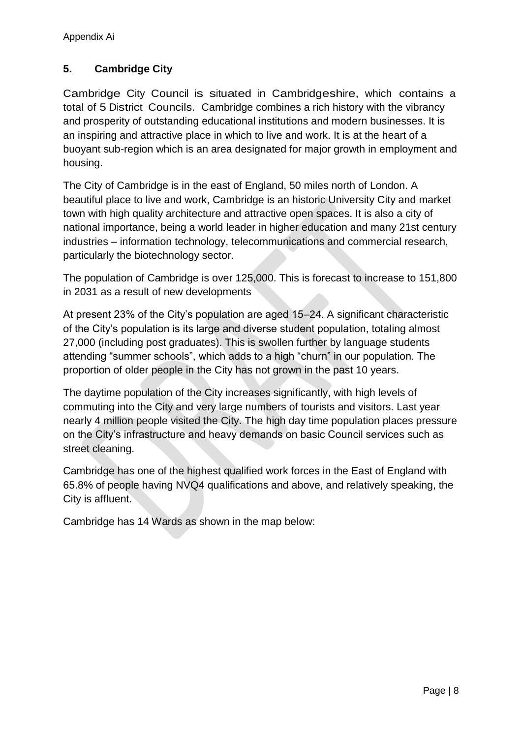## **5. Cambridge City**

Cambridge City Council is situated in Cambridgeshire, which contains a total of 5 District Councils. Cambridge combines a rich history with the vibrancy and prosperity of outstanding educational institutions and modern businesses. It is an inspiring and attractive place in which to live and work. It is at the heart of a buoyant sub-region which is an area designated for major growth in employment and housing.

The City of Cambridge is in the east of England, 50 miles north of London. A beautiful place to live and work, Cambridge is an historic University City and market town with high quality architecture and attractive open spaces. It is also a city of national importance, being a world leader in higher education and many 21st century industries – information technology, telecommunications and commercial research, particularly the biotechnology sector.

The population of Cambridge is over 125,000. This is forecast to increase to 151,800 in 2031 as a result of new developments

At present 23% of the City's population are aged 15–24. A significant characteristic of the City's population is its large and diverse student population, totaling almost 27,000 (including post graduates). This is swollen further by language students attending "summer schools", which adds to a high "churn" in our population. The proportion of older people in the City has not grown in the past 10 years.

The daytime population of the City increases significantly, with high levels of commuting into the City and very large numbers of tourists and visitors. Last year nearly 4 million people visited the City. The high day time population places pressure on the City's infrastructure and heavy demands on basic Council services such as street cleaning.

Cambridge has one of the highest qualified work forces in the East of England with 65.8% of people having NVQ4 qualifications and above, and relatively speaking, the City is affluent.

Cambridge has 14 Wards as shown in the map below: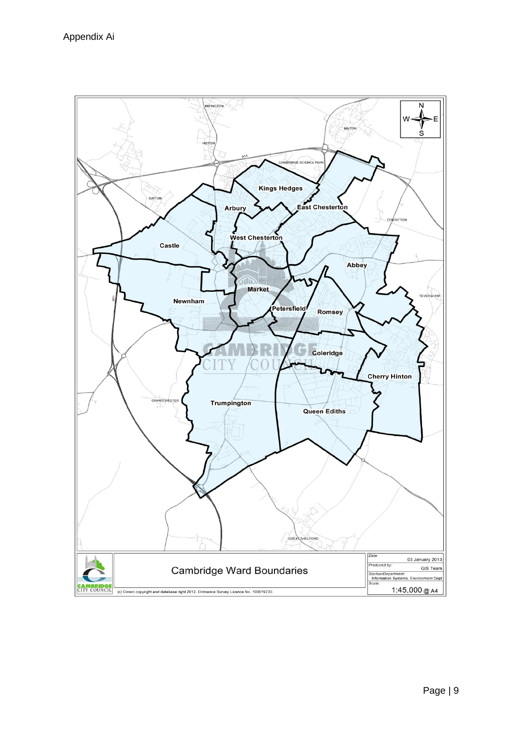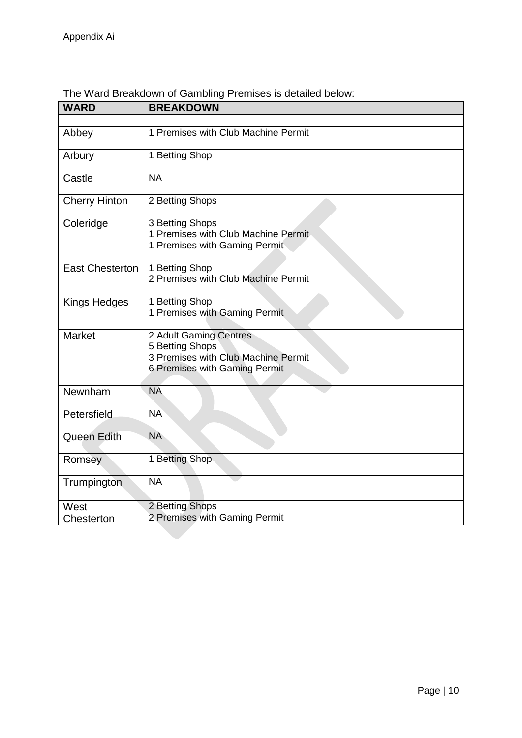| <b>WARD</b>            | <b>BREAKDOWN</b>                                                                                                  |
|------------------------|-------------------------------------------------------------------------------------------------------------------|
|                        |                                                                                                                   |
| Abbey                  | 1 Premises with Club Machine Permit                                                                               |
| Arbury                 | 1 Betting Shop                                                                                                    |
| Castle                 | <b>NA</b>                                                                                                         |
| <b>Cherry Hinton</b>   | 2 Betting Shops                                                                                                   |
| Coleridge              | 3 Betting Shops<br>1 Premises with Club Machine Permit<br>1 Premises with Gaming Permit                           |
| <b>East Chesterton</b> | 1 Betting Shop<br>2 Premises with Club Machine Permit                                                             |
| Kings Hedges           | 1 Betting Shop<br>1 Premises with Gaming Permit                                                                   |
| <b>Market</b>          | 2 Adult Gaming Centres<br>5 Betting Shops<br>3 Premises with Club Machine Permit<br>6 Premises with Gaming Permit |
| Newnham                | <b>NA</b>                                                                                                         |
| Petersfield            | <b>NA</b>                                                                                                         |
| Queen Edith            | <b>NA</b>                                                                                                         |
| Romsey                 | 1 Betting Shop                                                                                                    |
| Trumpington            | <b>NA</b>                                                                                                         |
| West<br>Chesterton     | 2 Betting Shops<br>2 Premises with Gaming Permit                                                                  |

## The Ward Breakdown of Gambling Premises is detailed below: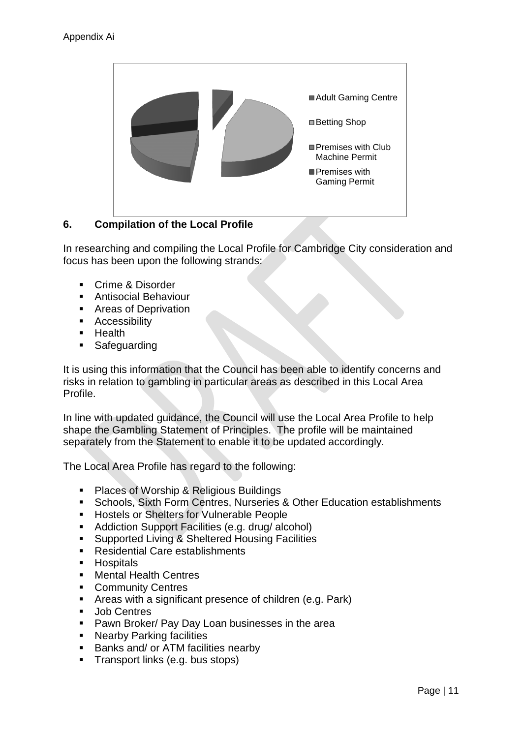

## **6. Compilation of the Local Profile**

In researching and compiling the Local Profile for Cambridge City consideration and focus has been upon the following strands:

- **Crime & Disorder**
- **Antisocial Behaviour**
- Areas of Deprivation
- **Accessibility**
- **Health**
- **Safeguarding**

It is using this information that the Council has been able to identify concerns and risks in relation to gambling in particular areas as described in this Local Area Profile.

In line with updated guidance, the Council will use the Local Area Profile to help shape the Gambling Statement of Principles. The profile will be maintained separately from the Statement to enable it to be updated accordingly.

The Local Area Profile has regard to the following:

- **Places of Worship & Religious Buildings**
- **Schools, Sixth Form Centres, Nurseries & Other Education establishments**
- **Hostels or Shelters for Vulnerable People**
- **Addiction Support Facilities (e.g. drug/ alcohol)**
- **Supported Living & Sheltered Housing Facilities**
- Residential Care establishments
- **Hospitals**
- Mental Health Centres
- **Community Centres**
- Areas with a significant presence of children (e.g. Park)
- **Job Centres**
- **Pawn Broker/ Pay Day Loan businesses in the area**
- **Nearby Parking facilities**
- Banks and/ or ATM facilities nearby
- **Transport links (e.g. bus stops)**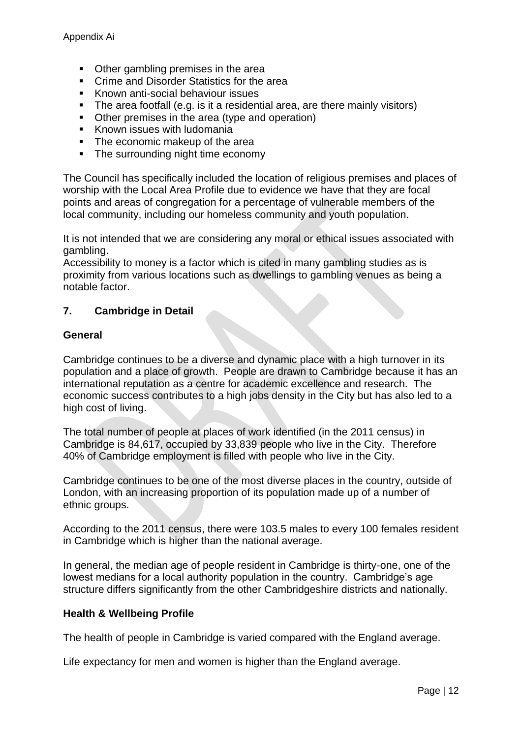- Other gambling premises in the area
- Crime and Disorder Statistics for the area
- **Known anti-social behaviour issues**
- The area footfall (e.g. is it a residential area, are there mainly visitors)
- Other premises in the area (type and operation)
- **Known issues with ludomania**
- The economic makeup of the area
- The surrounding night time economy

The Council has specifically included the location of religious premises and places of worship with the Local Area Profile due to evidence we have that they are focal points and areas of congregation for a percentage of vulnerable members of the local community, including our homeless community and youth population.

It is not intended that we are considering any moral or ethical issues associated with gambling.

Accessibility to money is a factor which is cited in many gambling studies as is proximity from various locations such as dwellings to gambling venues as being a notable factor.

## **7. Cambridge in Detail**

#### **General**

Cambridge continues to be a diverse and dynamic place with a high turnover in its population and a place of growth. People are drawn to Cambridge because it has an international reputation as a centre for academic excellence and research. The economic success contributes to a high jobs density in the City but has also led to a high cost of living.

The total number of people at places of work identified (in the 2011 census) in Cambridge is 84,617, occupied by 33,839 people who live in the City. Therefore 40% of Cambridge employment is filled with people who live in the City.

Cambridge continues to be one of the most diverse places in the country, outside of London, with an increasing proportion of its population made up of a number of ethnic groups.

According to the 2011 census, there were 103.5 males to every 100 females resident in Cambridge which is higher than the national average.

In general, the median age of people resident in Cambridge is thirty-one, one of the lowest medians for a local authority population in the country. Cambridge's age structure differs significantly from the other Cambridgeshire districts and nationally.

#### **Health & Wellbeing Profile**

The health of people in Cambridge is varied compared with the England average.

Life expectancy for men and women is higher than the England average.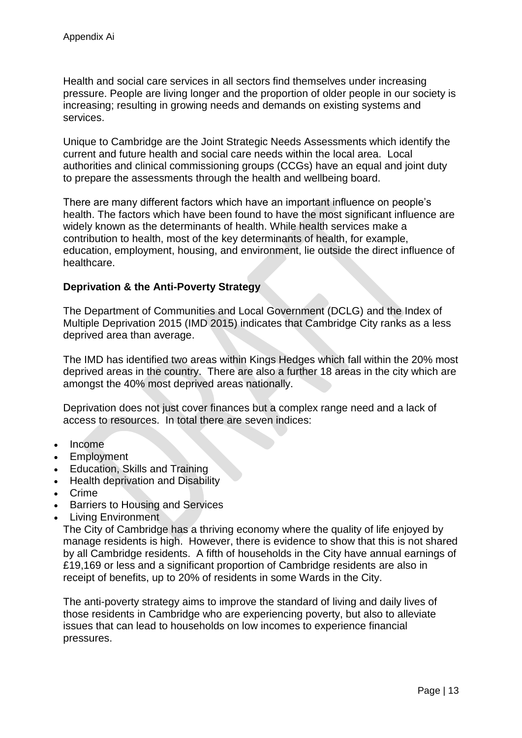Health and social care services in all sectors find themselves under increasing pressure. People are living longer and the proportion of older people in our society is increasing; resulting in growing needs and demands on existing systems and services.

Unique to Cambridge are the Joint Strategic Needs Assessments which identify the current and future health and social care needs within the local area. Local authorities and clinical commissioning groups (CCGs) have an equal and joint duty to prepare the assessments through the health and wellbeing board.

There are many different factors which have an important influence on people's health. The factors which have been found to have the most significant influence are widely known as the determinants of health. While health services make a contribution to health, most of the key determinants of health, for example, education, employment, housing, and environment, lie outside the direct influence of healthcare.

## **Deprivation & the Anti-Poverty Strategy**

The Department of Communities and Local Government (DCLG) and the Index of Multiple Deprivation 2015 (IMD 2015) indicates that Cambridge City ranks as a less deprived area than average.

The IMD has identified two areas within Kings Hedges which fall within the 20% most deprived areas in the country. There are also a further 18 areas in the city which are amongst the 40% most deprived areas nationally.

Deprivation does not just cover finances but a complex range need and a lack of access to resources. In total there are seven indices:

- Income
- Employment
- Education, Skills and Training
- Health deprivation and Disability
- Crime
- Barriers to Housing and Services
- Living Environment

The City of Cambridge has a thriving economy where the quality of life enjoyed by manage residents is high. However, there is evidence to show that this is not shared by all Cambridge residents. A fifth of households in the City have annual earnings of £19,169 or less and a significant proportion of Cambridge residents are also in receipt of benefits, up to 20% of residents in some Wards in the City.

The anti-poverty strategy aims to improve the standard of living and daily lives of those residents in Cambridge who are experiencing poverty, but also to alleviate issues that can lead to households on low incomes to experience financial pressures.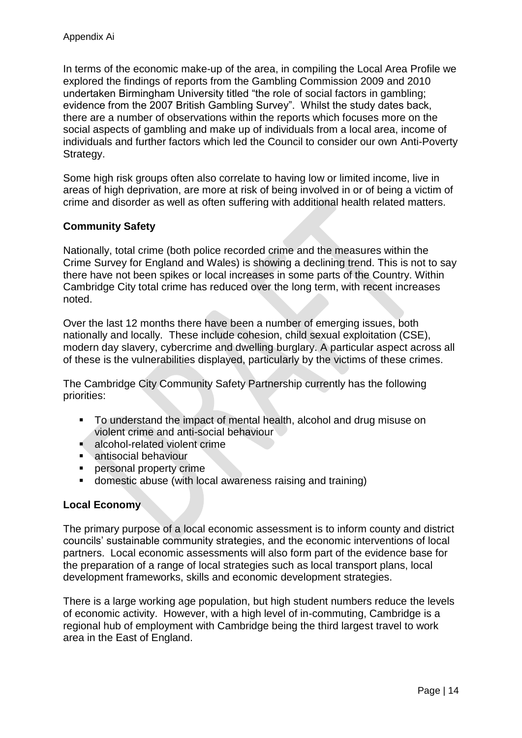In terms of the economic make-up of the area, in compiling the Local Area Profile we explored the findings of reports from the Gambling Commission 2009 and 2010 undertaken Birmingham University titled "the role of social factors in gambling; evidence from the 2007 British Gambling Survey". Whilst the study dates back, there are a number of observations within the reports which focuses more on the social aspects of gambling and make up of individuals from a local area, income of individuals and further factors which led the Council to consider our own Anti-Poverty Strategy.

Some high risk groups often also correlate to having low or limited income, live in areas of high deprivation, are more at risk of being involved in or of being a victim of crime and disorder as well as often suffering with additional health related matters.

## **Community Safety**

Nationally, total crime (both police recorded crime and the measures within the Crime Survey for England and Wales) is showing a declining trend. This is not to say there have not been spikes or local increases in some parts of the Country. Within Cambridge City total crime has reduced over the long term, with recent increases noted.

Over the last 12 months there have been a number of emerging issues, both nationally and locally. These include cohesion, child sexual exploitation (CSE), modern day slavery, cybercrime and dwelling burglary. A particular aspect across all of these is the vulnerabilities displayed, particularly by the victims of these crimes.

The Cambridge City Community Safety Partnership currently has the following priorities:

- To understand the impact of mental health, alcohol and drug misuse on violent crime and anti-social behaviour
- **alcohol-related violent crime**
- **antisocial behaviour<br>• nersonal property cri**
- personal property crime
- domestic abuse (with local awareness raising and training)

#### **Local Economy**

The primary purpose of a local economic assessment is to inform county and district councils' sustainable community strategies, and the economic interventions of local partners. Local economic assessments will also form part of the evidence base for the preparation of a range of local strategies such as local transport plans, local development frameworks, skills and economic development strategies.

There is a large working age population, but high student numbers reduce the levels of economic activity. However, with a high level of in-commuting, Cambridge is a regional hub of employment with Cambridge being the third largest travel to work area in the East of England.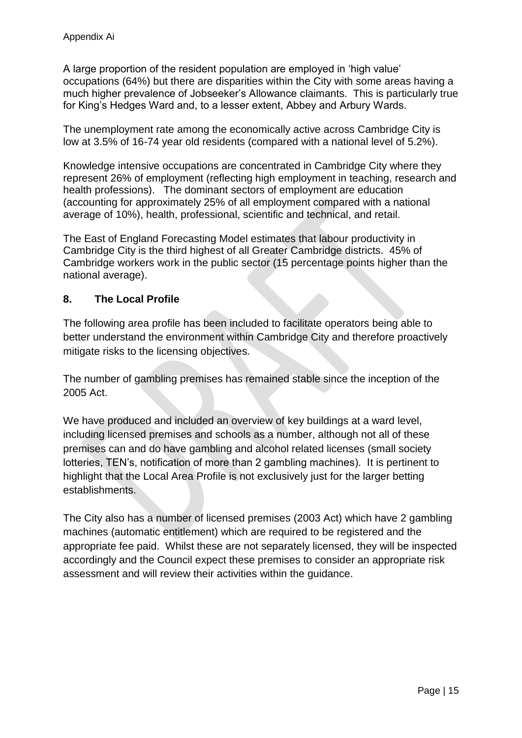A large proportion of the resident population are employed in 'high value' occupations (64%) but there are disparities within the City with some areas having a much higher prevalence of Jobseeker's Allowance claimants. This is particularly true for King's Hedges Ward and, to a lesser extent, Abbey and Arbury Wards.

The unemployment rate among the economically active across Cambridge City is low at 3.5% of 16-74 year old residents (compared with a national level of 5.2%).

Knowledge intensive occupations are concentrated in Cambridge City where they represent 26% of employment (reflecting high employment in teaching, research and health professions). The dominant sectors of employment are education (accounting for approximately 25% of all employment compared with a national average of 10%), health, professional, scientific and technical, and retail.

The East of England Forecasting Model estimates that labour productivity in Cambridge City is the third highest of all Greater Cambridge districts. 45% of Cambridge workers work in the public sector (15 percentage points higher than the national average).

## **8. The Local Profile**

The following area profile has been included to facilitate operators being able to better understand the environment within Cambridge City and therefore proactively mitigate risks to the licensing objectives.

The number of gambling premises has remained stable since the inception of the 2005 Act.

We have produced and included an overview of key buildings at a ward level, including licensed premises and schools as a number, although not all of these premises can and do have gambling and alcohol related licenses (small society lotteries, TEN's, notification of more than 2 gambling machines). It is pertinent to highlight that the Local Area Profile is not exclusively just for the larger betting establishments.

The City also has a number of licensed premises (2003 Act) which have 2 gambling machines (automatic entitlement) which are required to be registered and the appropriate fee paid. Whilst these are not separately licensed, they will be inspected accordingly and the Council expect these premises to consider an appropriate risk assessment and will review their activities within the guidance.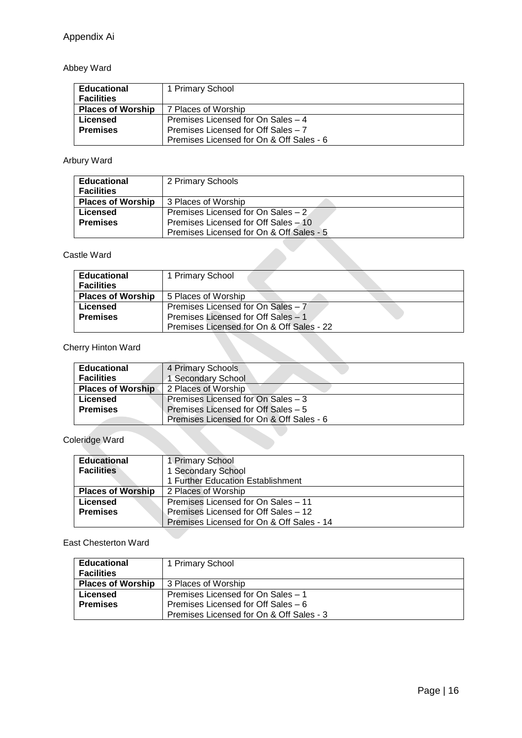## Abbey Ward

| <b>Educational</b><br><b>Facilities</b> | 1 Primary School                         |
|-----------------------------------------|------------------------------------------|
| <b>Places of Worship</b>                | 7 Places of Worship                      |
| Licensed                                | Premises Licensed for On Sales - 4       |
| <b>Premises</b>                         | Premises Licensed for Off Sales - 7      |
|                                         | Premises Licensed for On & Off Sales - 6 |

## Arbury Ward

| <b>Educational</b><br><b>Facilities</b> | 2 Primary Schools                        |
|-----------------------------------------|------------------------------------------|
| <b>Places of Worship</b>                | 3 Places of Worship                      |
| Licensed                                | Premises Licensed for On Sales – 2       |
| <b>Premises</b>                         | Premises Licensed for Off Sales - 10     |
|                                         | Premises Licensed for On & Off Sales - 5 |

#### Castle Ward

| <b>Educational</b><br><b>Facilities</b> | 1 Primary School                          |  |
|-----------------------------------------|-------------------------------------------|--|
| <b>Places of Worship</b>                | 5 Places of Worship                       |  |
| Licensed                                | Premises Licensed for On Sales - 7        |  |
| <b>Premises</b>                         | Premises Licensed for Off Sales - 1       |  |
|                                         | Premises Licensed for On & Off Sales - 22 |  |

## Cherry Hinton Ward

| <b>Educational</b>       | 4 Primary Schools                        |
|--------------------------|------------------------------------------|
|                          |                                          |
| <b>Facilities</b>        | 1 Secondary School                       |
| <b>Places of Worship</b> | 2 Places of Worship                      |
| Licensed                 | Premises Licensed for On Sales - 3       |
| <b>Premises</b>          | Premises Licensed for Off Sales - 5      |
|                          | Premises Licensed for On & Off Sales - 6 |

## Coleridge Ward

| <b>Educational</b>       | 1 Primary School                          |
|--------------------------|-------------------------------------------|
| <b>Facilities</b>        | 1 Secondary School                        |
|                          | 1 Further Education Establishment         |
| <b>Places of Worship</b> | 2 Places of Worship                       |
| Licensed                 | Premises Licensed for On Sales - 11       |
| <b>Premises</b>          | Premises Licensed for Off Sales - 12      |
|                          | Premises Licensed for On & Off Sales - 14 |

#### East Chesterton Ward

| <b>Educational</b>       | 1 Primary School                         |
|--------------------------|------------------------------------------|
| <b>Facilities</b>        |                                          |
| <b>Places of Worship</b> | 3 Places of Worship                      |
| Licensed                 | Premises Licensed for On Sales - 1       |
| <b>Premises</b>          | Premises Licensed for Off Sales – 6      |
|                          | Premises Licensed for On & Off Sales - 3 |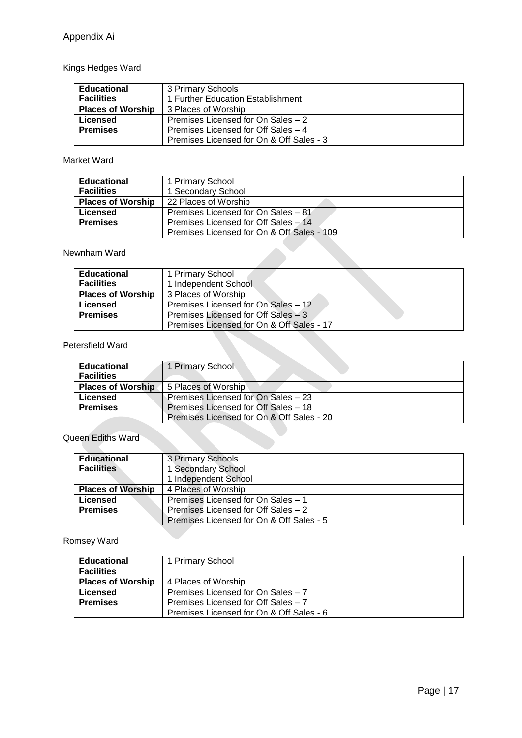## Kings Hedges Ward

| <b>Educational</b>       | 3 Primary Schools                        |
|--------------------------|------------------------------------------|
| <b>Facilities</b>        | 1 Further Education Establishment        |
| <b>Places of Worship</b> | 3 Places of Worship                      |
| Licensed                 | Premises Licensed for On Sales - 2       |
| <b>Premises</b>          | Premises Licensed for Off Sales - 4      |
|                          | Premises Licensed for On & Off Sales - 3 |

#### Market Ward

| <b>Educational</b>       | 1 Primary School                           |
|--------------------------|--------------------------------------------|
| <b>Facilities</b>        | 1 Secondary School                         |
| <b>Places of Worship</b> | 22 Places of Worship                       |
| Licensed                 | Premises Licensed for On Sales – 81        |
| <b>Premises</b>          | Premises Licensed for Off Sales - 14       |
|                          | Premises Licensed for On & Off Sales - 109 |

#### Newnham Ward

| <b>Educational</b>       | 1 Primary School                          |
|--------------------------|-------------------------------------------|
| <b>Facilities</b>        | 1 Independent School                      |
| <b>Places of Worship</b> | 3 Places of Worship                       |
| Licensed                 | Premises Licensed for On Sales - 12       |
| <b>Premises</b>          | Premises Licensed for Off Sales – 3       |
|                          | Premises Licensed for On & Off Sales - 17 |

#### Petersfield Ward

| <b>Educational</b>       | 1 Primary School                          |
|--------------------------|-------------------------------------------|
| <b>Facilities</b>        |                                           |
| <b>Places of Worship</b> | 5 Places of Worship                       |
| Licensed                 | Premises Licensed for On Sales - 23       |
| <b>Premises</b>          | Premises Licensed for Off Sales - 18      |
|                          | Premises Licensed for On & Off Sales - 20 |

## Queen Ediths Ward

| <b>Educational</b>       | 3 Primary Schools                        |
|--------------------------|------------------------------------------|
| <b>Facilities</b>        | 1 Secondary School                       |
|                          | 1 Independent School                     |
| <b>Places of Worship</b> | 4 Places of Worship                      |
| <b>Licensed</b>          | Premises Licensed for On Sales - 1       |
| <b>Premises</b>          | Premises Licensed for Off Sales - 2      |
|                          | Premises Licensed for On & Off Sales - 5 |

## Romsey Ward

| Educational              | 1 Primary School                         |
|--------------------------|------------------------------------------|
| <b>Facilities</b>        |                                          |
| <b>Places of Worship</b> | 4 Places of Worship                      |
| Licensed                 | Premises Licensed for On Sales - 7       |
| <b>Premises</b>          | Premises Licensed for Off Sales - 7      |
|                          | Premises Licensed for On & Off Sales - 6 |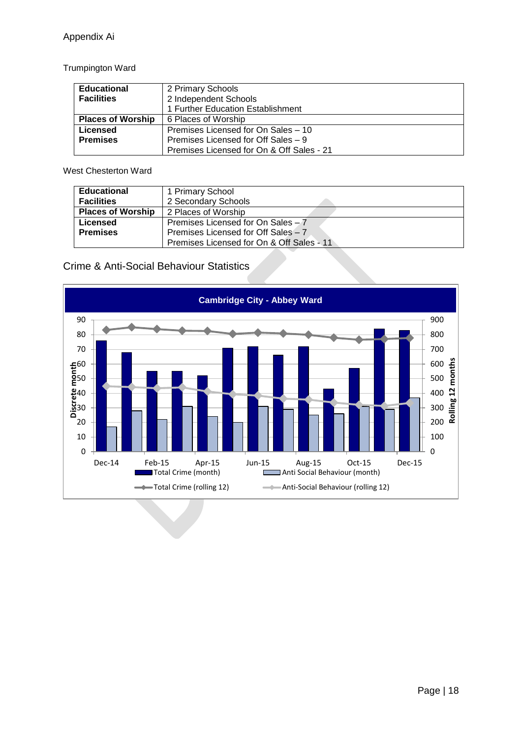Trumpington Ward

| <b>Educational</b>       | 2 Primary Schools                         |
|--------------------------|-------------------------------------------|
| <b>Facilities</b>        | 2 Independent Schools                     |
|                          | 1 Further Education Establishment         |
| <b>Places of Worship</b> | 6 Places of Worship                       |
| <b>Licensed</b>          | Premises Licensed for On Sales - 10       |
| <b>Premises</b>          | Premises Licensed for Off Sales - 9       |
|                          | Premises Licensed for On & Off Sales - 21 |

West Chesterton Ward

| <b>Educational</b>       | 1 Primary School                          |
|--------------------------|-------------------------------------------|
| <b>Facilities</b>        | 2 Secondary Schools                       |
| <b>Places of Worship</b> | 2 Places of Worship                       |
| Licensed                 | Premises Licensed for On Sales - 7        |
| <b>Premises</b>          | Premises Licensed for Off Sales - 7       |
|                          | Premises Licensed for On & Off Sales - 11 |

## Crime & Anti-Social Behaviour Statistics

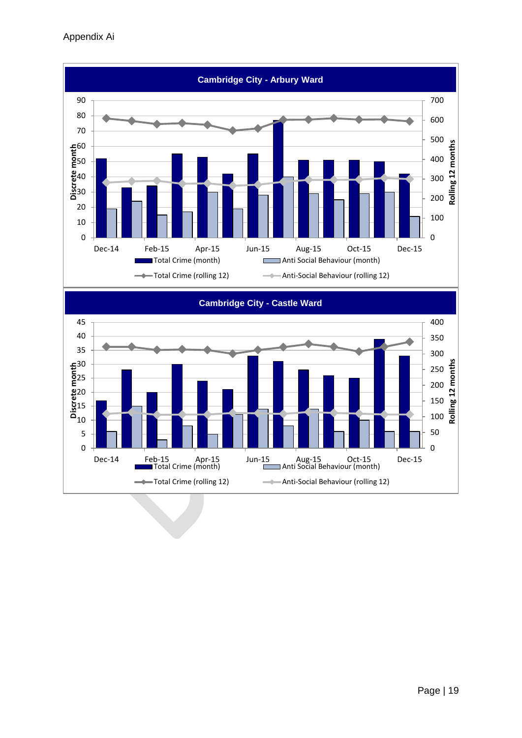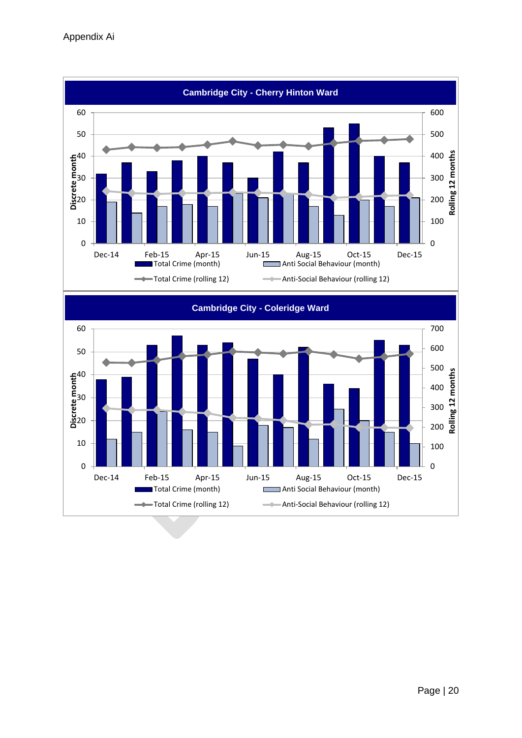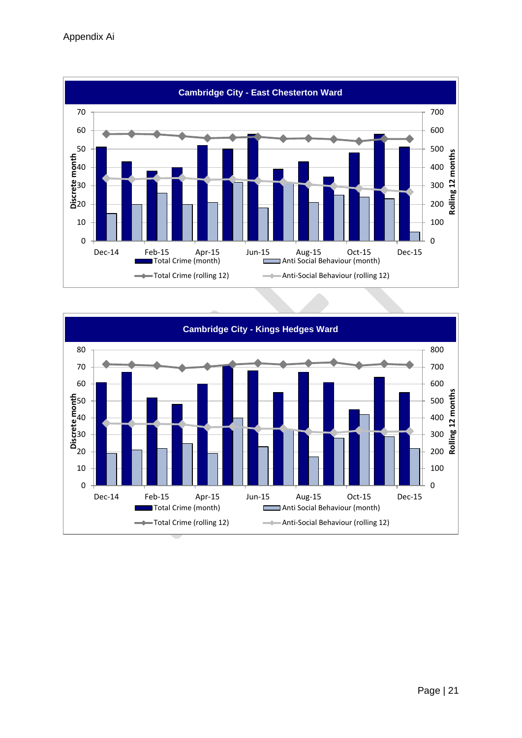

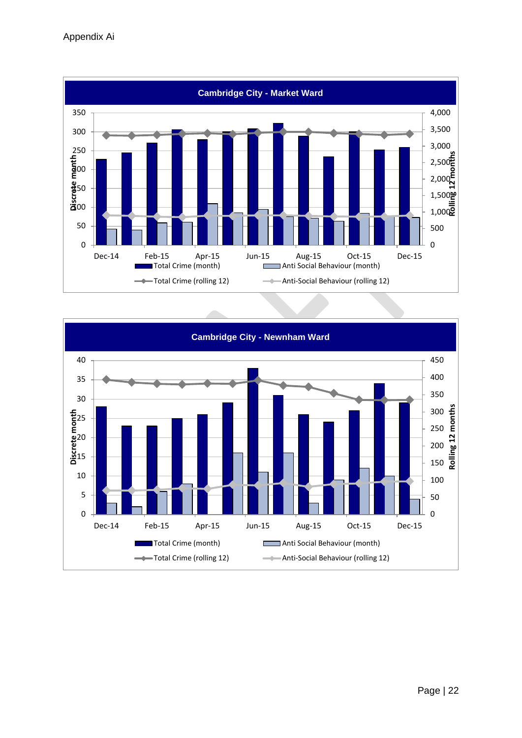

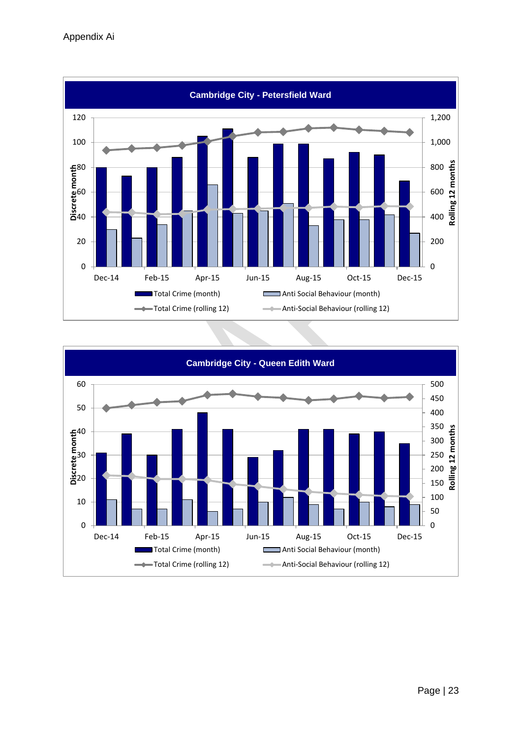

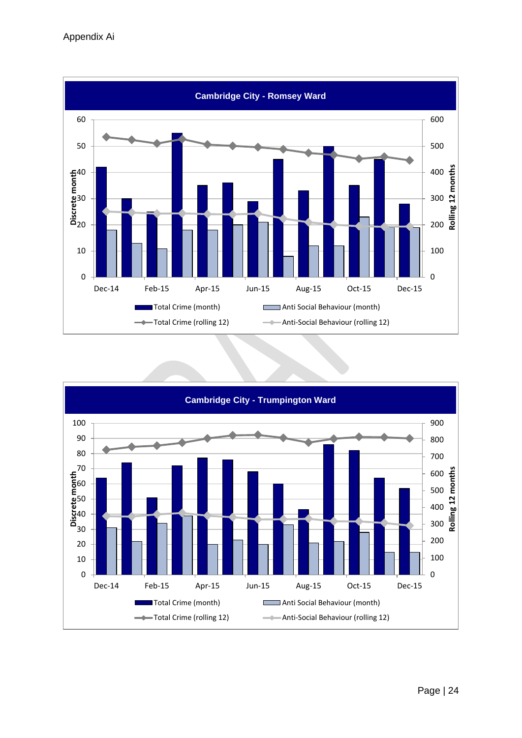